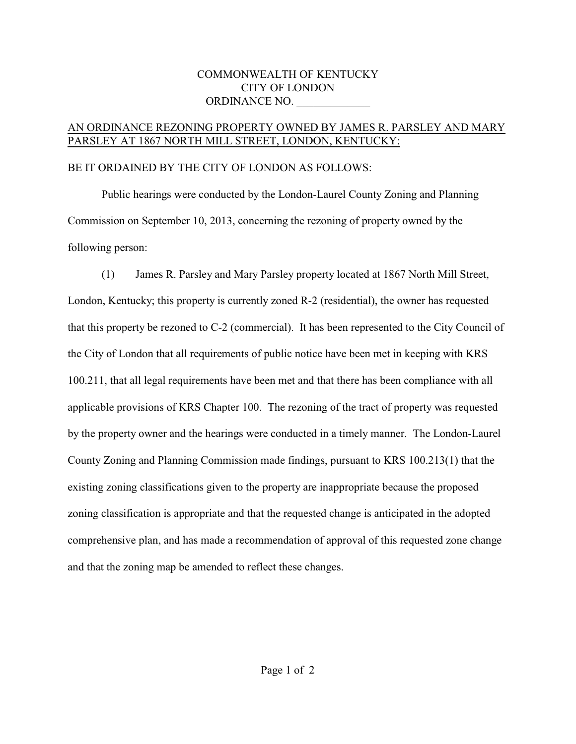## COMMONWEALTH OF KENTUCKY CITY OF LONDON ORDINANCE NO.

## AN ORDINANCE REZONING PROPERTY OWNED BY JAMES R. PARSLEY AND MARY PARSLEY AT 1867 NORTH MILL STREET, LONDON, KENTUCKY:

## BE IT ORDAINED BY THE CITY OF LONDON AS FOLLOWS:

Public hearings were conducted by the London-Laurel County Zoning and Planning Commission on September 10, 2013, concerning the rezoning of property owned by the following person:

(1) James R. Parsley and Mary Parsley property located at 1867 North Mill Street, London, Kentucky; this property is currently zoned R-2 (residential), the owner has requested that this property be rezoned to C-2 (commercial). It has been represented to the City Council of the City of London that all requirements of public notice have been met in keeping with KRS 100.211, that all legal requirements have been met and that there has been compliance with all applicable provisions of KRS Chapter 100. The rezoning of the tract of property was requested by the property owner and the hearings were conducted in a timely manner. The London-Laurel County Zoning and Planning Commission made findings, pursuant to KRS 100.213(1) that the existing zoning classifications given to the property are inappropriate because the proposed zoning classification is appropriate and that the requested change is anticipated in the adopted comprehensive plan, and has made a recommendation of approval of this requested zone change and that the zoning map be amended to reflect these changes.